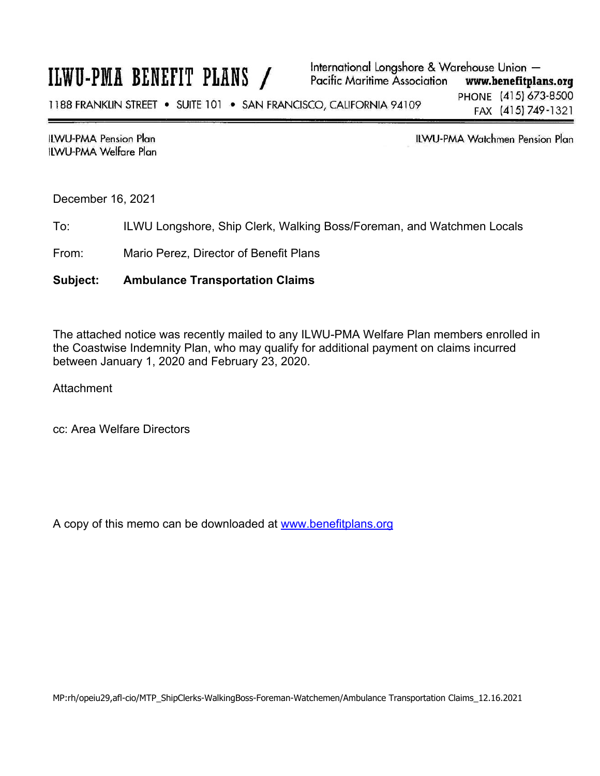## ILWU-PMA BENEFIT PLANS /

**ILWU-PMA Pension Plan** ILWU-PMA Welfare Plan **ILWU-PMA Watchmen Pension Plan** 

December 16, 2021

To: ILWU Longshore, Ship Clerk, Walking Boss/Foreman, and Watchmen Locals

From: Mario Perez, Director of Benefit Plans

## **Subject: Ambulance Transportation Claims**

The attached notice was recently mailed to any ILWU-PMA Welfare Plan members enrolled in the Coastwise Indemnity Plan, who may qualify for additional payment on claims incurred between January 1, 2020 and February 23, 2020.

**Attachment** 

cc: Area Welfare Directors

A copy of this memo can be downloaded at www.benefitplans.org